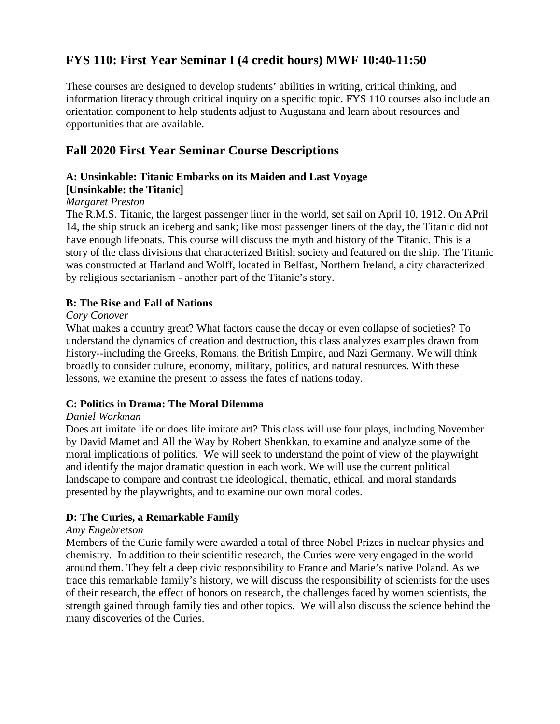# **FYS 110: First Year Seminar I (4 credit hours) MWF 10:40-11:50**

These courses are designed to develop students' abilities in writing, critical thinking, and information literacy through critical inquiry on a specific topic. FYS 110 courses also include an orientation component to help students adjust to Augustana and learn about resources and opportunities that are available.

# **Fall 2020 First Year Seminar Course Descriptions**

# **A: Unsinkable: Titanic Embarks on its Maiden and Last Voyage**

## **[Unsinkable: the Titanic]**

### *Margaret Preston*

The R.M.S. Titanic, the largest passenger liner in the world, set sail on April 10, 1912. On APril 14, the ship struck an iceberg and sank; like most passenger liners of the day, the Titanic did not have enough lifeboats. This course will discuss the myth and history of the Titanic. This is a story of the class divisions that characterized British society and featured on the ship. The Titanic was constructed at Harland and Wolff, located in Belfast, Northern Ireland, a city characterized by religious sectarianism - another part of the Titanic's story.

### **B: The Rise and Fall of Nations**

#### *Cory Conover*

What makes a country great? What factors cause the decay or even collapse of societies? To understand the dynamics of creation and destruction, this class analyzes examples drawn from history--including the Greeks, Romans, the British Empire, and Nazi Germany. We will think broadly to consider culture, economy, military, politics, and natural resources. With these lessons, we examine the present to assess the fates of nations today.

## **C: Politics in Drama: The Moral Dilemma**

#### *Daniel Workman*

Does art imitate life or does life imitate art? This class will use four plays, including November by David Mamet and All the Way by Robert Shenkkan, to examine and analyze some of the moral implications of politics. We will seek to understand the point of view of the playwright and identify the major dramatic question in each work. We will use the current political landscape to compare and contrast the ideological, thematic, ethical, and moral standards presented by the playwrights, and to examine our own moral codes.

## **D: The Curies, a Remarkable Family**

#### *Amy Engebretson*

Members of the Curie family were awarded a total of three Nobel Prizes in nuclear physics and chemistry. In addition to their scientific research, the Curies were very engaged in the world around them. They felt a deep civic responsibility to France and Marie's native Poland. As we trace this remarkable family's history, we will discuss the responsibility of scientists for the uses of their research, the effect of honors on research, the challenges faced by women scientists, the strength gained through family ties and other topics. We will also discuss the science behind the many discoveries of the Curies.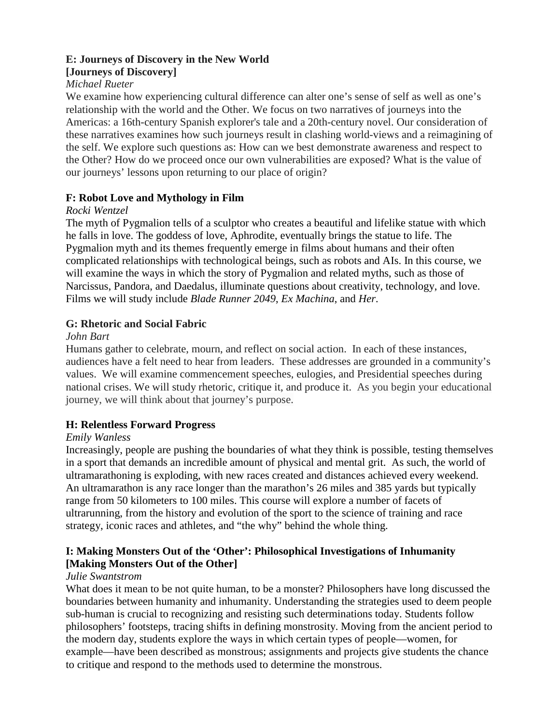# **E: Journeys of Discovery in the New World**

# **[Journeys of Discovery]**

# *Michael Rueter*

We examine how experiencing cultural difference can alter one's sense of self as well as one's relationship with the world and the Other. We focus on two narratives of journeys into the Americas: a 16th-century Spanish explorer's tale and a 20th-century novel. Our consideration of these narratives examines how such journeys result in clashing world-views and a reimagining of the self. We explore such questions as: How can we best demonstrate awareness and respect to the Other? How do we proceed once our own vulnerabilities are exposed? What is the value of our journeys' lessons upon returning to our place of origin?

# **F: Robot Love and Mythology in Film**

## *Rocki Wentzel*

The myth of Pygmalion tells of a sculptor who creates a beautiful and lifelike statue with which he falls in love. The goddess of love, Aphrodite, eventually brings the statue to life. The Pygmalion myth and its themes frequently emerge in films about humans and their often complicated relationships with technological beings, such as robots and AIs. In this course, we will examine the ways in which the story of Pygmalion and related myths, such as those of Narcissus, Pandora, and Daedalus, illuminate questions about creativity, technology, and love. Films we will study include *Blade Runner 2049*, *Ex Machina*, and *Her*.

# **G: Rhetoric and Social Fabric**

### *John Bart*

Humans gather to celebrate, mourn, and reflect on social action. In each of these instances, audiences have a felt need to hear from leaders. These addresses are grounded in a community's values. We will examine commencement speeches, eulogies, and Presidential speeches during national crises. We will study rhetoric, critique it, and produce it. As you begin your educational journey, we will think about that journey's purpose.

## **H: Relentless Forward Progress**

## *Emily Wanless*

Increasingly, people are pushing the boundaries of what they think is possible, testing themselves in a sport that demands an incredible amount of physical and mental grit. As such, the world of ultramarathoning is exploding, with new races created and distances achieved every weekend. An ultramarathon is any race longer than the marathon's 26 miles and 385 yards but typically range from 50 kilometers to 100 miles. This course will explore a number of facets of ultrarunning, from the history and evolution of the sport to the science of training and race strategy, iconic races and athletes, and "the why" behind the whole thing.

# **I: Making Monsters Out of the 'Other': Philosophical Investigations of Inhumanity [Making Monsters Out of the Other]**

#### *Julie Swantstrom*

What does it mean to be not quite human, to be a monster? Philosophers have long discussed the boundaries between humanity and inhumanity. Understanding the strategies used to deem people sub-human is crucial to recognizing and resisting such determinations today. Students follow philosophers' footsteps, tracing shifts in defining monstrosity. Moving from the ancient period to the modern day, students explore the ways in which certain types of people—women, for example—have been described as monstrous; assignments and projects give students the chance to critique and respond to the methods used to determine the monstrous.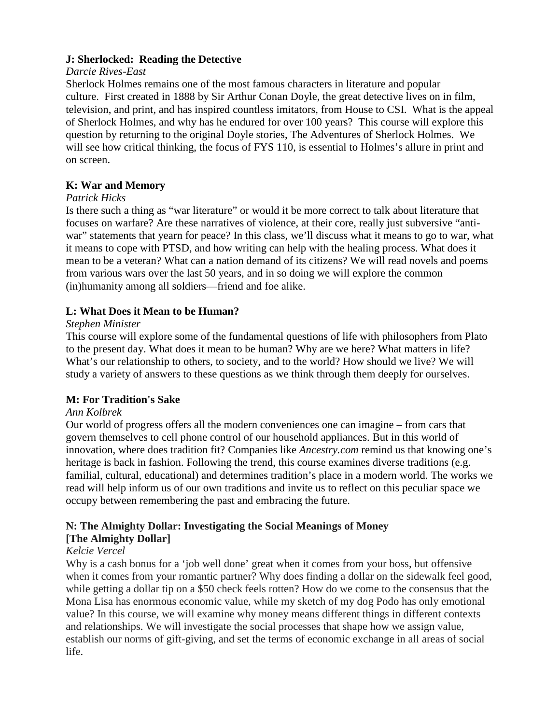### **J: Sherlocked: Reading the Detective**

#### *Darcie Rives-East*

Sherlock Holmes remains one of the most famous characters in literature and popular culture. First created in 1888 by Sir Arthur Conan Doyle, the great detective lives on in film, television, and print, and has inspired countless imitators, from House to CSI. What is the appeal of Sherlock Holmes, and why has he endured for over 100 years? This course will explore this question by returning to the original Doyle stories, The Adventures of Sherlock Holmes. We will see how critical thinking, the focus of FYS 110, is essential to Holmes's allure in print and on screen.

# **K: War and Memory**

### *Patrick Hicks*

Is there such a thing as "war literature" or would it be more correct to talk about literature that focuses on warfare? Are these narratives of violence, at their core, really just subversive "antiwar" statements that yearn for peace? In this class, we'll discuss what it means to go to war, what it means to cope with PTSD, and how writing can help with the healing process. What does it mean to be a veteran? What can a nation demand of its citizens? We will read novels and poems from various wars over the last 50 years, and in so doing we will explore the common (in)humanity among all soldiers—friend and foe alike.

# **L: What Does it Mean to be Human?**

### *Stephen Minister*

This course will explore some of the fundamental questions of life with philosophers from Plato to the present day. What does it mean to be human? Why are we here? What matters in life? What's our relationship to others, to society, and to the world? How should we live? We will study a variety of answers to these questions as we think through them deeply for ourselves.

## **M: For Tradition's Sake**

## *Ann Kolbrek*

Our world of progress offers all the modern conveniences one can imagine – from cars that govern themselves to cell phone control of our household appliances. But in this world of innovation, where does tradition fit? Companies like *Ancestry.com* remind us that knowing one's heritage is back in fashion. Following the trend, this course examines diverse traditions (e.g. familial, cultural, educational) and determines tradition's place in a modern world. The works we read will help inform us of our own traditions and invite us to reflect on this peculiar space we occupy between remembering the past and embracing the future.

# **N: The Almighty Dollar: Investigating the Social Meanings of Money [The Almighty Dollar]**

## *Kelcie Vercel*

Why is a cash bonus for a 'job well done' great when it comes from your boss, but offensive when it comes from your romantic partner? Why does finding a dollar on the sidewalk feel good, while getting a dollar tip on a \$50 check feels rotten? How do we come to the consensus that the Mona Lisa has enormous economic value, while my sketch of my dog Podo has only emotional value? In this course, we will examine why money means different things in different contexts and relationships. We will investigate the social processes that shape how we assign value, establish our norms of gift-giving, and set the terms of economic exchange in all areas of social life.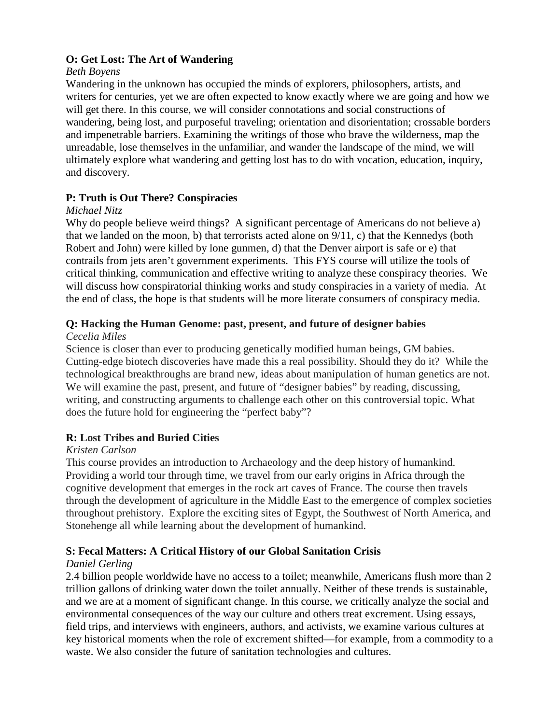### **O: Get Lost: The Art of Wandering**

### *Beth Boyens*

Wandering in the unknown has occupied the minds of explorers, philosophers, artists, and writers for centuries, yet we are often expected to know exactly where we are going and how we will get there. In this course, we will consider connotations and social constructions of wandering, being lost, and purposeful traveling; orientation and disorientation; crossable borders and impenetrable barriers. Examining the writings of those who brave the wilderness, map the unreadable, lose themselves in the unfamiliar, and wander the landscape of the mind, we will ultimately explore what wandering and getting lost has to do with vocation, education, inquiry, and discovery.

## **P: Truth is Out There? Conspiracies**

## *Michael Nitz*

Why do people believe weird things? A significant percentage of Americans do not believe a) that we landed on the moon, b) that terrorists acted alone on  $9/11$ , c) that the Kennedys (both Robert and John) were killed by lone gunmen, d) that the Denver airport is safe or e) that contrails from jets aren't government experiments. This FYS course will utilize the tools of critical thinking, communication and effective writing to analyze these conspiracy theories. We will discuss how conspiratorial thinking works and study conspiracies in a variety of media. At the end of class, the hope is that students will be more literate consumers of conspiracy media.

# **Q: Hacking the Human Genome: past, present, and future of designer babies**

### *Cecelia Miles*

Science is closer than ever to producing genetically modified human beings, GM babies. Cutting-edge biotech discoveries have made this a real possibility. Should they do it? While the technological breakthroughs are brand new, ideas about manipulation of human genetics are not. We will examine the past, present, and future of "designer babies" by reading, discussing, writing, and constructing arguments to challenge each other on this controversial topic. What does the future hold for engineering the "perfect baby"?

## **R: Lost Tribes and Buried Cities**

## *Kristen Carlson*

This course provides an introduction to Archaeology and the deep history of humankind. Providing a world tour through time, we travel from our early origins in Africa through the cognitive development that emerges in the rock art caves of France. The course then travels through the development of agriculture in the Middle East to the emergence of complex societies throughout prehistory. Explore the exciting sites of Egypt, the Southwest of North America, and Stonehenge all while learning about the development of humankind.

## **S: Fecal Matters: A Critical History of our Global Sanitation Crisis**

## *Daniel Gerling*

2.4 billion people worldwide have no access to a toilet; meanwhile, Americans flush more than 2 trillion gallons of drinking water down the toilet annually. Neither of these trends is sustainable, and we are at a moment of significant change. In this course, we critically analyze the social and environmental consequences of the way our culture and others treat excrement. Using essays, field trips, and interviews with engineers, authors, and activists, we examine various cultures at key historical moments when the role of excrement shifted—for example, from a commodity to a waste. We also consider the future of sanitation technologies and cultures.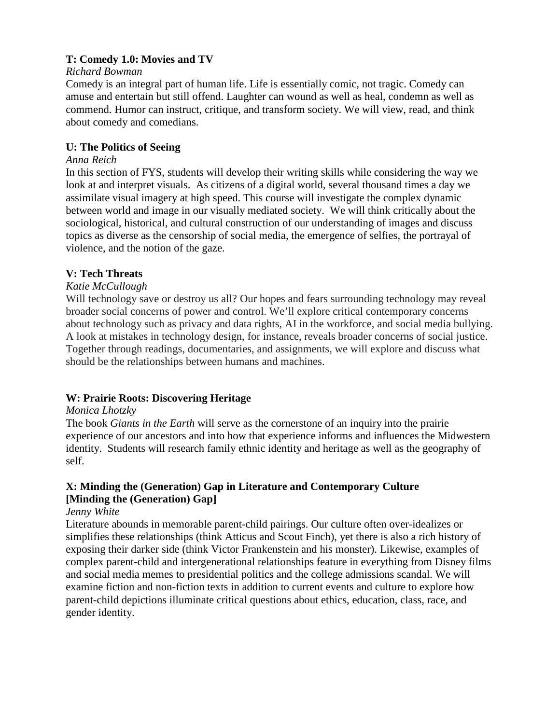### **T: Comedy 1.0: Movies and TV**

#### *Richard Bowman*

Comedy is an integral part of human life. Life is essentially comic, not tragic. Comedy can amuse and entertain but still offend. Laughter can wound as well as heal, condemn as well as commend. Humor can instruct, critique, and transform society. We will view, read, and think about comedy and comedians.

### **U: The Politics of Seeing**

#### *Anna Reich*

In this section of FYS, students will develop their writing skills while considering the way we look at and interpret visuals. As citizens of a digital world, several thousand times a day we assimilate visual imagery at high speed. This course will investigate the complex dynamic between world and image in our visually mediated society. We will think critically about the sociological, historical, and cultural construction of our understanding of images and discuss topics as diverse as the censorship of social media, the emergence of selfies, the portrayal of violence, and the notion of the gaze.

### **V: Tech Threats**

### *Katie McCullough*

Will technology save or destroy us all? Our hopes and fears surrounding technology may reveal broader social concerns of power and control. We'll explore critical contemporary concerns about technology such as privacy and data rights, AI in the workforce, and social media bullying. A look at mistakes in technology design, for instance, reveals broader concerns of social justice. Together through readings, documentaries, and assignments, we will explore and discuss what should be the relationships between humans and machines.

## **W: Prairie Roots: Discovering Heritage**

#### *Monica Lhotzky*

The book *Giants in the Earth* will serve as the cornerstone of an inquiry into the prairie experience of our ancestors and into how that experience informs and influences the Midwestern identity. Students will research family ethnic identity and heritage as well as the geography of self.

## **X: Minding the (Generation) Gap in Literature and Contemporary Culture [Minding the (Generation) Gap]**

### *Jenny White*

Literature abounds in memorable parent-child pairings. Our culture often over-idealizes or simplifies these relationships (think Atticus and Scout Finch), yet there is also a rich history of exposing their darker side (think Victor Frankenstein and his monster). Likewise, examples of complex parent-child and intergenerational relationships feature in everything from Disney films and social media memes to presidential politics and the college admissions scandal. We will examine fiction and non-fiction texts in addition to current events and culture to explore how parent-child depictions illuminate critical questions about ethics, education, class, race, and gender identity.